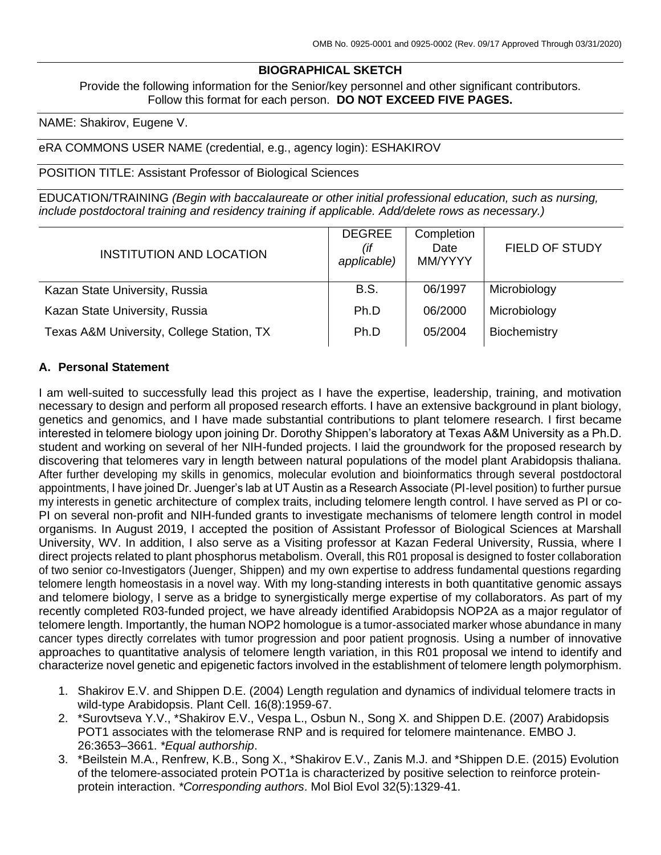# **BIOGRAPHICAL SKETCH**

Provide the following information for the Senior/key personnel and other significant contributors. Follow this format for each person. **DO NOT EXCEED FIVE PAGES.**

NAME: Shakirov, Eugene V.

#### eRA COMMONS USER NAME (credential, e.g., agency login): ESHAKIROV

POSITION TITLE: Assistant Professor of Biological Sciences

EDUCATION/TRAINING *(Begin with baccalaureate or other initial professional education, such as nursing, include postdoctoral training and residency training if applicable. Add/delete rows as necessary.)*

| <b>INSTITUTION AND LOCATION</b>           | <b>DEGREE</b><br>(if<br>applicable) | Completion<br>Date<br>MM/YYYY | <b>FIELD OF STUDY</b> |
|-------------------------------------------|-------------------------------------|-------------------------------|-----------------------|
| Kazan State University, Russia            | <b>B.S.</b>                         | 06/1997                       | Microbiology          |
| Kazan State University, Russia            | Ph.D                                | 06/2000                       | Microbiology          |
| Texas A&M University, College Station, TX | Ph.D                                | 05/2004                       | Biochemistry          |

#### **A. Personal Statement**

I am well-suited to successfully lead this project as I have the expertise, leadership, training, and motivation necessary to design and perform all proposed research efforts. I have an extensive background in plant biology, genetics and genomics, and I have made substantial contributions to plant telomere research. I first became interested in telomere biology upon joining Dr. Dorothy Shippen's laboratory at Texas A&M University as a Ph.D. student and working on several of her NIH-funded projects. I laid the groundwork for the proposed research by discovering that telomeres vary in length between natural populations of the model plant Arabidopsis thaliana. After further developing my skills in genomics, molecular evolution and bioinformatics through several postdoctoral appointments, I have joined Dr. Juenger's lab at UT Austin as a Research Associate (PI-level position) to further pursue my interests in genetic architecture of complex traits, including telomere length control. I have served as PI or co-PI on several non-profit and NIH-funded grants to investigate mechanisms of telomere length control in model organisms. In August 2019, I accepted the position of Assistant Professor of Biological Sciences at Marshall University, WV. In addition, I also serve as a Visiting professor at Kazan Federal University, Russia, where I direct projects related to plant phosphorus metabolism. Overall, this R01 proposal is designed to foster collaboration of two senior co-Investigators (Juenger, Shippen) and my own expertise to address fundamental questions regarding telomere length homeostasis in a novel way. With my long-standing interests in both quantitative genomic assays and telomere biology, I serve as a bridge to synergistically merge expertise of my collaborators. As part of my recently completed R03-funded project, we have already identified Arabidopsis NOP2A as a major regulator of telomere length. Importantly, the human NOP2 homologue is a tumor-associated marker whose abundance in many cancer types directly correlates with tumor progression and poor patient prognosis. Using a number of innovative approaches to quantitative analysis of telomere length variation, in this R01 proposal we intend to identify and characterize novel genetic and epigenetic factors involved in the establishment of telomere length polymorphism.

- 1. Shakirov E.V. and Shippen D.E. (2004) Length regulation and dynamics of individual telomere tracts in wild-type Arabidopsis. Plant Cell. 16(8):1959-67.
- 2. \*Surovtseva Y.V., \*Shakirov E.V., Vespa L., Osbun N., Song X. and Shippen D.E. (2007) Arabidopsis POT1 associates with the telomerase RNP and is required for telomere maintenance. EMBO J. 26:3653–3661. *\*Equal authorship*.
- 3. \*Beilstein M.A., Renfrew, K.B., Song X., \*Shakirov E.V., Zanis M.J. and \*Shippen D.E. (2015) Evolution of the telomere-associated protein POT1a is characterized by positive selection to reinforce proteinprotein interaction. *\*Corresponding authors*. Mol Biol Evol 32(5):1329-41.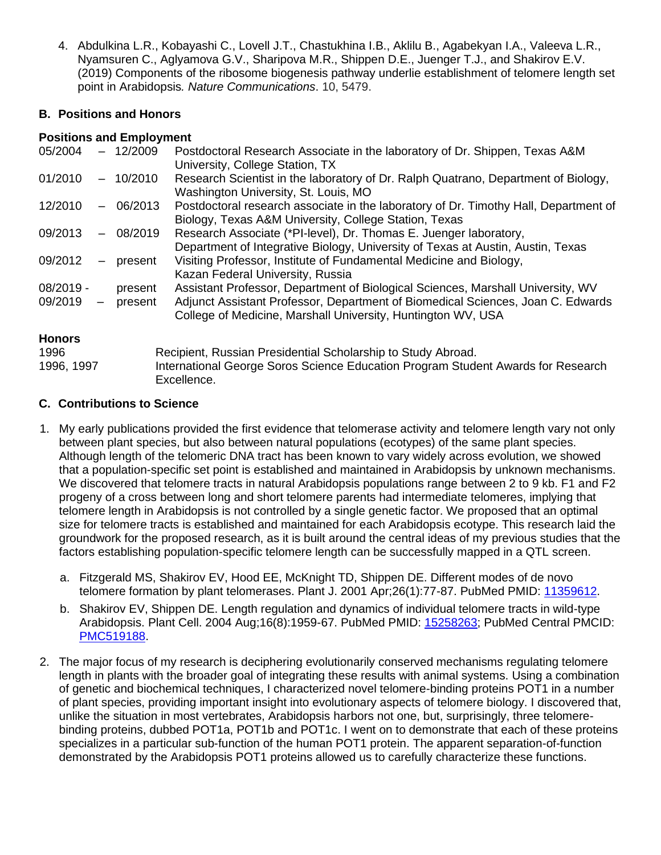4. Abdulkina L.R., Kobayashi C., Lovell J.T., Chastukhina I.B., Aklilu B., Agabekyan I.A., Valeeva L.R., Nyamsuren C., Aglyamova G.V., Sharipova M.R., Shippen D.E., Juenger T.J., and Shakirov E.V. (2019) Components of the ribosome biogenesis pathway underlie establishment of telomere length set point in Arabidopsis*. Nature Communications*. 10, 5479.

# **B. Positions and Honors**

## **Positions and Employment**

| 05/2004       |                          | $-12/2009$ | Postdoctoral Research Associate in the laboratory of Dr. Shippen, Texas A&M<br>University, College Station, TX                                       |
|---------------|--------------------------|------------|------------------------------------------------------------------------------------------------------------------------------------------------------|
| 01/2010       |                          | $-10/2010$ | Research Scientist in the laboratory of Dr. Ralph Quatrano, Department of Biology,<br>Washington University, St. Louis, MO                           |
| 12/2010       | $\overline{\phantom{0}}$ | 06/2013    | Postdoctoral research associate in the laboratory of Dr. Timothy Hall, Department of<br>Biology, Texas A&M University, College Station, Texas        |
| 09/2013       | $\qquad \qquad -$        | 08/2019    | Research Associate (*PI-level), Dr. Thomas E. Juenger laboratory,<br>Department of Integrative Biology, University of Texas at Austin, Austin, Texas |
| 09/2012       | $\overline{\phantom{m}}$ | present    | Visiting Professor, Institute of Fundamental Medicine and Biology,<br>Kazan Federal University, Russia                                               |
| $08/2019 -$   |                          | present    | Assistant Professor, Department of Biological Sciences, Marshall University, WV                                                                      |
| 09/2019       | $ \,$                    | present    | Adjunct Assistant Professor, Department of Biomedical Sciences, Joan C. Edwards<br>College of Medicine, Marshall University, Huntington WV, USA      |
| <b>Honors</b> |                          |            |                                                                                                                                                      |
| 1996          |                          |            | Recipient, Russian Presidential Scholarship to Study Abroad.                                                                                         |
| 1996, 1997    |                          |            | International George Soros Science Education Program Student Awards for Research<br>Excellence.                                                      |

# **C. Contributions to Science**

- 1. My early publications provided the first evidence that telomerase activity and telomere length vary not only between plant species, but also between natural populations (ecotypes) of the same plant species. Although length of the telomeric DNA tract has been known to vary widely across evolution, we showed that a population-specific set point is established and maintained in Arabidopsis by unknown mechanisms. We discovered that telomere tracts in natural Arabidopsis populations range between 2 to 9 kb. F1 and F2 progeny of a cross between long and short telomere parents had intermediate telomeres, implying that telomere length in Arabidopsis is not controlled by a single genetic factor. We proposed that an optimal size for telomere tracts is established and maintained for each Arabidopsis ecotype. This research laid the groundwork for the proposed research, as it is built around the central ideas of my previous studies that the factors establishing population-specific telomere length can be successfully mapped in a QTL screen.
	- a. Fitzgerald MS, Shakirov EV, Hood EE, McKnight TD, Shippen DE. Different modes of de novo telomere formation by plant telomerases. Plant J. 2001 Apr;26(1):77-87. PubMed PMID: [11359612.](http://www.ncbi.nlm.nih.gov/pubmed/11359612/)
	- b. Shakirov EV, Shippen DE. Length regulation and dynamics of individual telomere tracts in wild-type Arabidopsis. Plant Cell. 2004 Aug;16(8):1959-67. PubMed PMID: [15258263;](http://www.ncbi.nlm.nih.gov/pubmed/15258263/) PubMed Central PMCID: [PMC519188.](http://www.ncbi.nlm.nih.gov/pmc/articles/PMC519188/)
- 2. The major focus of my research is deciphering evolutionarily conserved mechanisms regulating telomere length in plants with the broader goal of integrating these results with animal systems. Using a combination of genetic and biochemical techniques, I characterized novel telomere-binding proteins POT1 in a number of plant species, providing important insight into evolutionary aspects of telomere biology. I discovered that, unlike the situation in most vertebrates, Arabidopsis harbors not one, but, surprisingly, three telomerebinding proteins, dubbed POT1a, POT1b and POT1c. I went on to demonstrate that each of these proteins specializes in a particular sub-function of the human POT1 protein. The apparent separation-of-function demonstrated by the Arabidopsis POT1 proteins allowed us to carefully characterize these functions.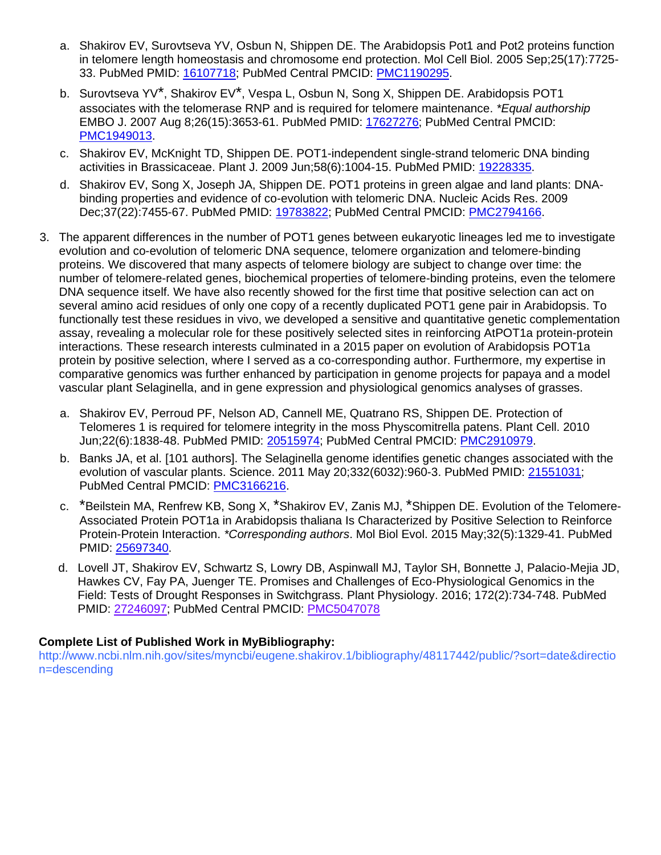- a. Shakirov EV, Surovtseva YV, Osbun N, Shippen DE. The Arabidopsis Pot1 and Pot2 proteins function in telomere length homeostasis and chromosome end protection. Mol Cell Biol. 2005 Sep;25(17):7725- 33. PubMed PMID: [16107718;](http://www.ncbi.nlm.nih.gov/pubmed/16107718/) PubMed Central PMCID: [PMC1190295.](http://www.ncbi.nlm.nih.gov/pmc/articles/PMC1190295/)
- b. Surovtseva YV\*, Shakirov EV\*, Vespa L, Osbun N, Song X, Shippen DE. Arabidopsis POT1 associates with the telomerase RNP and is required for telomere maintenance. *\*Equal authorship* EMBO J. 2007 Aug 8;26(15):3653-61. PubMed PMID: [17627276;](http://www.ncbi.nlm.nih.gov/pubmed/17627276/) PubMed Central PMCID: [PMC1949013.](http://www.ncbi.nlm.nih.gov/pmc/articles/PMC1949013/)
- c. Shakirov EV, McKnight TD, Shippen DE. POT1-independent single-strand telomeric DNA binding activities in Brassicaceae. Plant J. 2009 Jun;58(6):1004-15. PubMed PMID: [19228335.](http://www.ncbi.nlm.nih.gov/pubmed/19228335/)
- d. Shakirov EV, Song X, Joseph JA, Shippen DE. POT1 proteins in green algae and land plants: DNAbinding properties and evidence of co-evolution with telomeric DNA. Nucleic Acids Res. 2009 Dec;37(22):7455-67. PubMed PMID: [19783822;](http://www.ncbi.nlm.nih.gov/pubmed/19783822/) PubMed Central PMCID: [PMC2794166.](http://www.ncbi.nlm.nih.gov/pmc/articles/PMC2794166/)
- 3. The apparent differences in the number of POT1 genes between eukaryotic lineages led me to investigate evolution and co-evolution of telomeric DNA sequence, telomere organization and telomere-binding proteins. We discovered that many aspects of telomere biology are subject to change over time: the number of telomere-related genes, biochemical properties of telomere-binding proteins, even the telomere DNA sequence itself. We have also recently showed for the first time that positive selection can act on several amino acid residues of only one copy of a recently duplicated POT1 gene pair in Arabidopsis. To functionally test these residues in vivo, we developed a sensitive and quantitative genetic complementation assay, revealing a molecular role for these positively selected sites in reinforcing AtPOT1a protein-protein interactions. These research interests culminated in a 2015 paper on evolution of Arabidopsis POT1a protein by positive selection, where I served as a co-corresponding author. Furthermore, my expertise in comparative genomics was further enhanced by participation in genome projects for papaya and a model vascular plant Selaginella, and in gene expression and physiological genomics analyses of grasses.
	- a. Shakirov EV, Perroud PF, Nelson AD, Cannell ME, Quatrano RS, Shippen DE. Protection of Telomeres 1 is required for telomere integrity in the moss Physcomitrella patens. Plant Cell. 2010 Jun;22(6):1838-48. PubMed PMID: [20515974;](http://www.ncbi.nlm.nih.gov/pubmed/20515974/) PubMed Central PMCID: [PMC2910979.](http://www.ncbi.nlm.nih.gov/pmc/articles/PMC2910979/)
	- b. Banks JA, et al. [101 authors]. The Selaginella genome identifies genetic changes associated with the evolution of vascular plants. Science. 2011 May 20;332(6032):960-3. PubMed PMID: [21551031;](http://www.ncbi.nlm.nih.gov/pubmed/21551031/) PubMed Central PMCID: [PMC3166216.](http://www.ncbi.nlm.nih.gov/pmc/articles/PMC3166216/)
	- c. \*Beilstein MA, Renfrew KB, Song X, \*Shakirov EV, Zanis MJ, \*Shippen DE. Evolution of the Telomere-Associated Protein POT1a in Arabidopsis thaliana Is Characterized by Positive Selection to Reinforce Protein-Protein Interaction. *\*Corresponding authors*. Mol Biol Evol. 2015 May;32(5):1329-41. PubMed PMID: [25697340.](http://www.ncbi.nlm.nih.gov/pubmed/25697340/)
	- d. Lovell JT, Shakirov EV, Schwartz S, Lowry DB, Aspinwall MJ, Taylor SH, Bonnette J, Palacio-Mejia JD, Hawkes CV, Fay PA, Juenger TE. Promises and Challenges of Eco-Physiological Genomics in the Field: Tests of Drought Responses in Switchgrass. Plant Physiology. 2016; 172(2):734-748. PubMed PMID: 27246097; PubMed Central PMCID: PMC5047078

## **Complete List of Published Work in MyBibliography:**

http://www.ncbi.nlm.nih.gov/sites/myncbi/eugene.shakirov.1/bibliography/48117442/public/?sort=date&directio n=descending